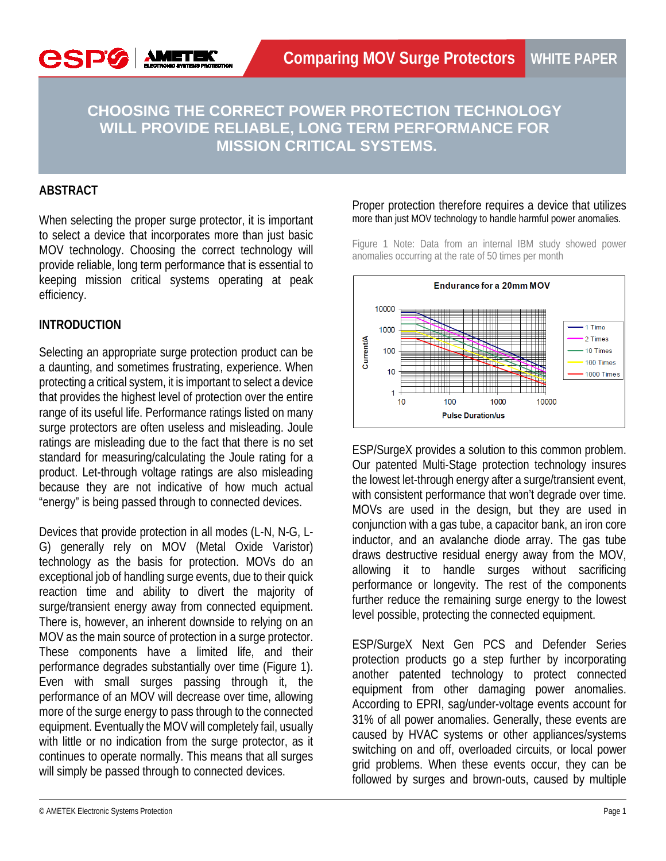**CHOOSING THE CORRECT POWER PROTECTION TECHNOLOGY WILL PROVIDE RELIABLE, LONG TERM PERFORMANCE FOR MISSION CRITICAL SYSTEMS.**

## **ABSTRACT**

**CSPG** 

When selecting the proper surge protector, it is important to select a device that incorporates more than just basic MOV technology. Choosing the correct technology will provide reliable, long term performance that is essential to keeping mission critical systems operating at peak efficiency.

## **INTRODUCTION**

Selecting an appropriate surge protection product can be a daunting, and sometimes frustrating, experience. When protecting a critical system, it is important to select a device that provides the highest level of protection over the entire range of its useful life. Performance ratings listed on many surge protectors are often useless and misleading. Joule ratings are misleading due to the fact that there is no set standard for measuring/calculating the Joule rating for a product. Let-through voltage ratings are also misleading because they are not indicative of how much actual "energy" is being passed through to connected devices.

Devices that provide protection in all modes (L-N, N-G, L-G) generally rely on MOV (Metal Oxide Varistor) technology as the basis for protection. MOVs do an exceptional job of handling surge events, due to their quick reaction time and ability to divert the majority of surge/transient energy away from connected equipment. There is, however, an inherent downside to relying on an MOV as the main source of protection in a surge protector. These components have a limited life, and their performance degrades substantially over time (Figure 1). Even with small surges passing through it, the performance of an MOV will decrease over time, allowing more of the surge energy to pass through to the connected equipment. Eventually the MOV will completely fail, usually with little or no indication from the surge protector, as it continues to operate normally. This means that all surges will simply be passed through to connected devices.

#### Proper protection therefore requires a device that utilizes more than just MOV technology to handle harmful power anomalies.

Figure 1 Note: Data from an internal IBM study showed power anomalies occurring at the rate of 50 times per month



ESP/SurgeX provides a solution to this common problem. Our patented Multi-Stage protection technology insures the lowest let-through energy after a surge/transient event, with consistent performance that won't degrade over time. MOVs are used in the design, but they are used in conjunction with a gas tube, a capacitor bank, an iron core inductor, and an avalanche diode array. The gas tube draws destructive residual energy away from the MOV, allowing it to handle surges without sacrificing performance or longevity. The rest of the components further reduce the remaining surge energy to the lowest level possible, protecting the connected equipment.

ESP/SurgeX Next Gen PCS and Defender Series protection products go a step further by incorporating another patented technology to protect connected equipment from other damaging power anomalies. According to EPRI, sag/under-voltage events account for 31% of all power anomalies. Generally, these events are caused by HVAC systems or other appliances/systems switching on and off, overloaded circuits, or local power grid problems. When these events occur, they can be followed by surges and brown-outs, caused by multiple